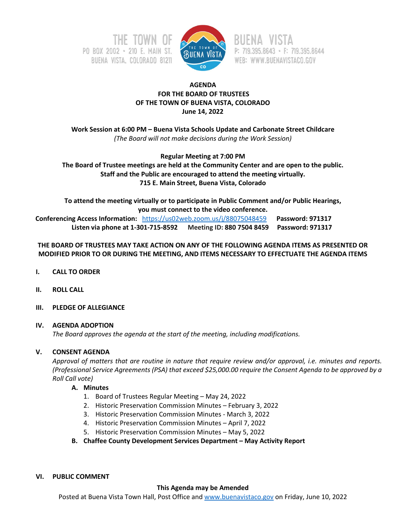



P: 719.395.8643 · F: 719.395.8644 WEB: WWW.BUENAVISTACO.GOV

# **AGENDA FOR THE BOARD OF TRUSTEES OF THE TOWN OF BUENA VISTA, COLORADO June 14, 2022**

**Work Session at 6:00 PM – Buena Vista Schools Update and Carbonate Street Childcare** *(The Board will not make decisions during the Work Session)*

**Regular Meeting at 7:00 PM**

**The Board of Trustee meetings are held at the Community Center and are open to the public. Staff and the Public are encouraged to attend the meeting virtually. 715 E. Main Street, Buena Vista, Colorado**

**To attend the meeting virtually or to participate in Public Comment and/or Public Hearings, you must connect to the video conference. Conferencing Access Information:** <https://us02web.zoom.us/j/88075048459>**Password: 971317 Listen via phone at 1-301-715-8592 Meeting ID: 880 7504 8459 Password: 971317**

# **THE BOARD OF TRUSTEES MAY TAKE ACTION ON ANY OF THE FOLLOWING AGENDA ITEMS AS PRESENTED OR MODIFIED PRIOR TO OR DURING THE MEETING, AND ITEMS NECESSARY TO EFFECTUATE THE AGENDA ITEMS**

- **I. CALL TO ORDER**
- **II. ROLL CALL**
- **III. PLEDGE OF ALLEGIANCE**

## **IV. AGENDA ADOPTION**

*The Board approves the agenda at the start of the meeting, including modifications.*

## **V. CONSENT AGENDA**

*Approval of matters that are routine in nature that require review and/or approval, i.e. minutes and reports. (Professional Service Agreements (PSA) that exceed \$25,000.00 require the Consent Agenda to be approved by a Roll Call vote)*

## **A. Minutes**

- 1. Board of Trustees Regular Meeting May 24, 2022
- 2. Historic Preservation Commission Minutes February 3, 2022
- 3. Historic Preservation Commission Minutes March 3, 2022
- 4. Historic Preservation Commission Minutes April 7, 2022
- 5. Historic Preservation Commission Minutes May 5, 2022
- **B. Chaffee County Development Services Department – May Activity Report**
- **VI. PUBLIC COMMENT**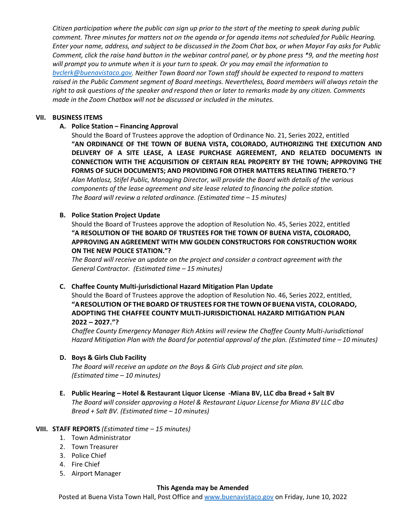*Citizen participation where the public can sign up prior to the start of the meeting to speak during public comment. Three minutes for matters not on the agenda or for agenda items not scheduled for Public Hearing. Enter your name, address, and subject to be discussed in the Zoom Chat box, or when Mayor Fay asks for Public Comment, click the raise hand button in the webinar control panel, or by phone press \*9, and the meeting host will prompt you to unmute when it is your turn to speak. Or you may email the information to [bvclerk@buenavistaco.gov.](mailto:bvclerk@buenavistaco.gov) Neither Town Board nor Town staff should be expected to respond to matters raised in the Public Comment segment of Board meetings. Nevertheless, Board members will always retain the right to ask questions of the speaker and respond then or later to remarks made by any citizen. Comments made in the Zoom Chatbox will not be discussed or included in the minutes.*

#### **VII. BUSINESS ITEMS**

## **A. Police Station – Financing Approval**

Should the Board of Trustees approve the adoption of Ordinance No. 21, Series 2022, entitled **"AN ORDINANCE OF THE TOWN OF BUENA VISTA, COLORADO, AUTHORIZING THE EXECUTION AND DELIVERY OF A SITE LEASE, A LEASE PURCHASE AGREEMENT, AND RELATED DOCUMENTS IN CONNECTION WITH THE ACQUISITION OF CERTAIN REAL PROPERTY BY THE TOWN; APPROVING THE FORMS OF SUCH DOCUMENTS; AND PROVIDING FOR OTHER MATTERS RELATING THERETO."?** *Alan Matlosz, Stifel Public, Managing Director, will provide the Board with details of the various components of the lease agreement and site lease related to financing the police station. The Board will review a related ordinance. (Estimated time – 15 minutes)*

## **B. Police Station Project Update**

Should the Board of Trustees approve the adoption of Resolution No. 45, Series 2022, entitled **"A RESOLUTION OF THE BOARD OF TRUSTEES FOR THE TOWN OF BUENA VISTA, COLORADO, APPROVING AN AGREEMENT WITH MW GOLDEN CONSTRUCTORS FOR CONSTRUCTION WORK ON THE NEW POLICE STATION."?**

*The Board will receive an update on the project and consider a contract agreement with the General Contractor. (Estimated time – 15 minutes)*

## **C. Chaffee County Multi-jurisdictional Hazard Mitigation Plan Update**

Should the Board of Trustees approve the adoption of Resolution No. 46, Series 2022, entitled, **"ARESOLUTION OFTHE BOARD OFTRUSTEES FORTHE TOWNOFBUENA VISTA, COLORADO, ADOPTING THE CHAFFEE COUNTY MULTI-JURISDICTIONAL HAZARD MITIGATION PLAN 2022 – 2027."?**

*Chaffee County Emergency Manager Rich Atkins will review the Chaffee County Multi-Jurisdictional Hazard Mitigation Plan with the Board for potential approval of the plan. (Estimated time – 10 minutes)*

## **D. Boys & Girls Club Facility**

*The Board will receive an update on the Boys & Girls Club project and site plan. (Estimated time – 10 minutes)*

**E. Public Hearing – Hotel & Restaurant Liquor License -Miana BV, LLC dba Bread + Salt BV** *The Board will consider approving a Hotel & Restaurant Liquor License for Miana BV LLC dba Bread + Salt BV. (Estimated time – 10 minutes)*

## **VIII. STAFF REPORTS** *(Estimated time – 15 minutes)*

- 1. Town Administrator
- 2. Town Treasurer
- 3. Police Chief
- 4. Fire Chief
- 5. Airport Manager

#### **This Agenda may be Amended**

Posted at Buena Vista Town Hall, Post Office and [www.buenavistaco.gov](http://www.buenavistaco.gov/) on Friday, June 10, 2022